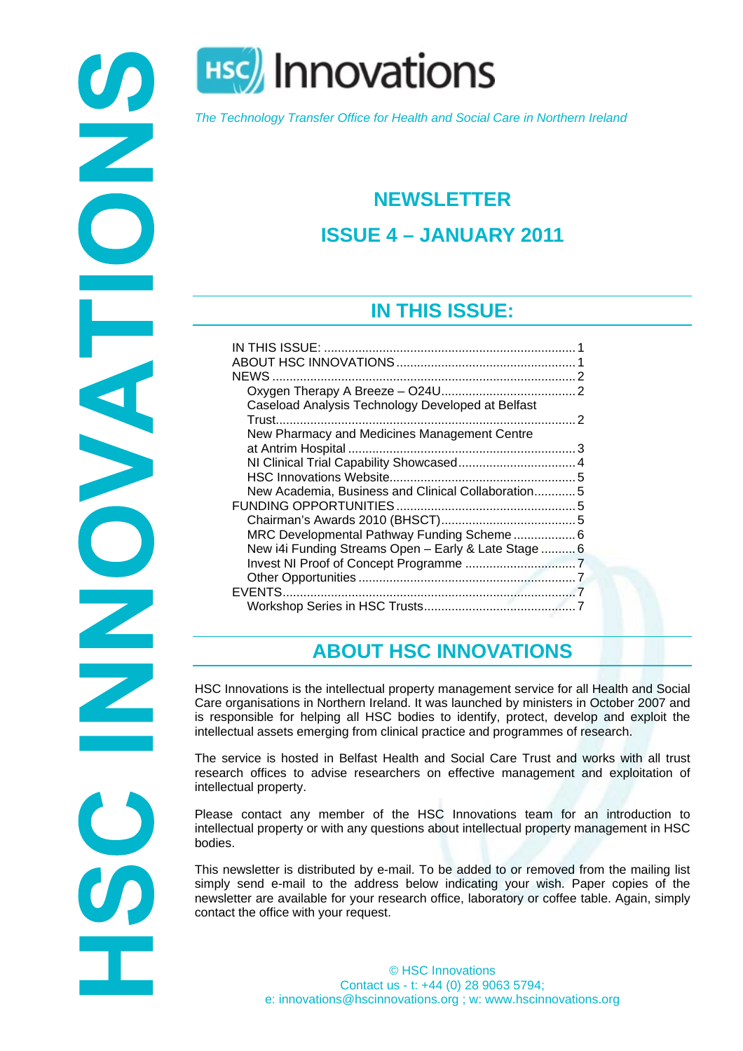

**HSC** Innovations

*The Technology Transfer Office for Health and Social Care in Northern Ireland* 

# **NEWSLETTER**

## **ISSUE 4 – JANUARY 2011**

## **IN THIS ISSUE:**

<span id="page-0-0"></span>

| <b>NEWS</b>                                          |  |
|------------------------------------------------------|--|
|                                                      |  |
| Caseload Analysis Technology Developed at Belfast    |  |
|                                                      |  |
| New Pharmacy and Medicines Management Centre         |  |
|                                                      |  |
|                                                      |  |
|                                                      |  |
| New Academia, Business and Clinical Collaboration5   |  |
|                                                      |  |
|                                                      |  |
| MRC Developmental Pathway Funding Scheme 6           |  |
| New i4i Funding Streams Open - Early & Late Stage  6 |  |
|                                                      |  |
|                                                      |  |
| EVENTS                                               |  |
|                                                      |  |
|                                                      |  |

# **ABOUT HSC INNOVATIONS**

<span id="page-0-1"></span>HSC Innovations is the intellectual property management service for all Health and Social Care organisations in Northern Ireland. It was launched by ministers in October 2007 and is responsible for helping all HSC bodies to identify, protect, develop and exploit the intellectual assets emerging from clinical practice and programmes of research.

The service is hosted in Belfast Health and Social Care Trust and works with all trust research offices to advise researchers on effective management and exploitation of intellectual property.

Please contact any member of the HSC Innovations team for an introduction to intellectual property or with any questions about intellectual property management in HSC bodies.

This newsletter is distributed by e-mail. To be added to or removed from the mailing list simply send e-mail to the address below indicating your wish. Paper copies of the newsletter are available for your research office, laboratory or coffee table. Again, simply contact the office with your request.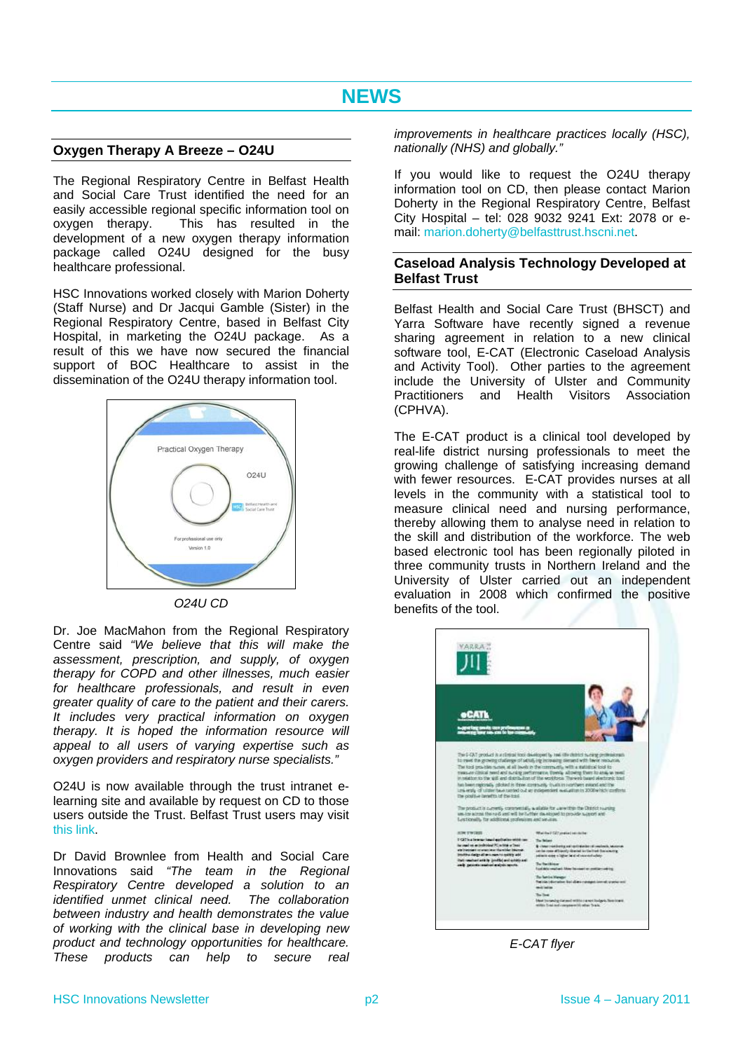### <span id="page-1-1"></span><span id="page-1-0"></span>**Oxygen Therapy A Breeze – O24U**

The Regional Respiratory Centre in Belfast Health and Social Care Trust identified the need for an easily accessible regional specific information tool on oxygen therapy. This has resulted in the development of a new oxygen therapy information package called O24U designed for the busy healthcare professional.

<span id="page-1-2"></span>HSC Innovations worked closely with Marion Doherty (Staff Nurse) and Dr Jacqui Gamble (Sister) in the Regional Respiratory Centre, based in Belfast City Hospital, in marketing the O24U package. As a result of this we have now secured the financial support of BOC Healthcare to assist in the dissemination of the O24U therapy information tool.



*O24U CD* 

Dr. Joe MacMahon from the Regional Respiratory Centre said *"We believe that this will make the assessment, prescription, and supply, of oxygen therapy for COPD and other illnesses, much easier for healthcare professionals, and result in even greater quality of care to the patient and their carers. It includes very practical information on oxygen therapy. It is hoped the information resource will appeal to all users of varying expertise such as oxygen providers and respiratory nurse specialists."*

O24U is now available through the trust intranet elearning site and available by request on CD to those users outside the Trust. Belfast Trust users may visit [this link.](http://intranet.belfasttrust.local/education/Lists/ListWithAttachments/Attachments/9/O24U.pdf)

Dr David Brownlee from Health and Social Care Innovations said *"The team in the Regional Respiratory Centre developed a solution to an identified unmet clinical need. The collaboration between industry and health demonstrates the value of working with the clinical base in developing new product and technology opportunities for healthcare. These products can help to secure real*  *improvements in healthcare practices locally (HSC), nationally (NHS) and globally."*

If you would like to request the O24U therapy information tool on CD, then please contact Marion Doherty in the Regional Respiratory Centre, Belfast City Hospital – tel: 028 9032 9241 Ext: 2078 or email: [marion.doherty@belfasttrust.hscni.net](mailto:marion.doherty@belfasttrust.hscni.net).

#### **Caseload Analysis Technology Developed at Belfast Trust**

Belfast Health and Social Care Trust (BHSCT) and Yarra Software have recently signed a revenue sharing agreement in relation to a new clinical software tool, E-CAT (Electronic Caseload Analysis and Activity Tool). Other parties to the agreement include the University of Ulster and Community Practitioners and Health Visitors Association (CPHVA).

The E-CAT product is a clinical tool developed by real-life district nursing professionals to meet the growing challenge of satisfying increasing demand with fewer resources. E-CAT provides nurses at all levels in the community with a statistical tool to measure clinical need and nursing performance, thereby allowing them to analyse need in relation to the skill and distribution of the workforce. The web based electronic tool has been regionally piloted in three community trusts in Northern Ireland and the University of Ulster carried out an independent evaluation in 2008 which confirmed the positive benefits of the tool.



*E-CAT flyer*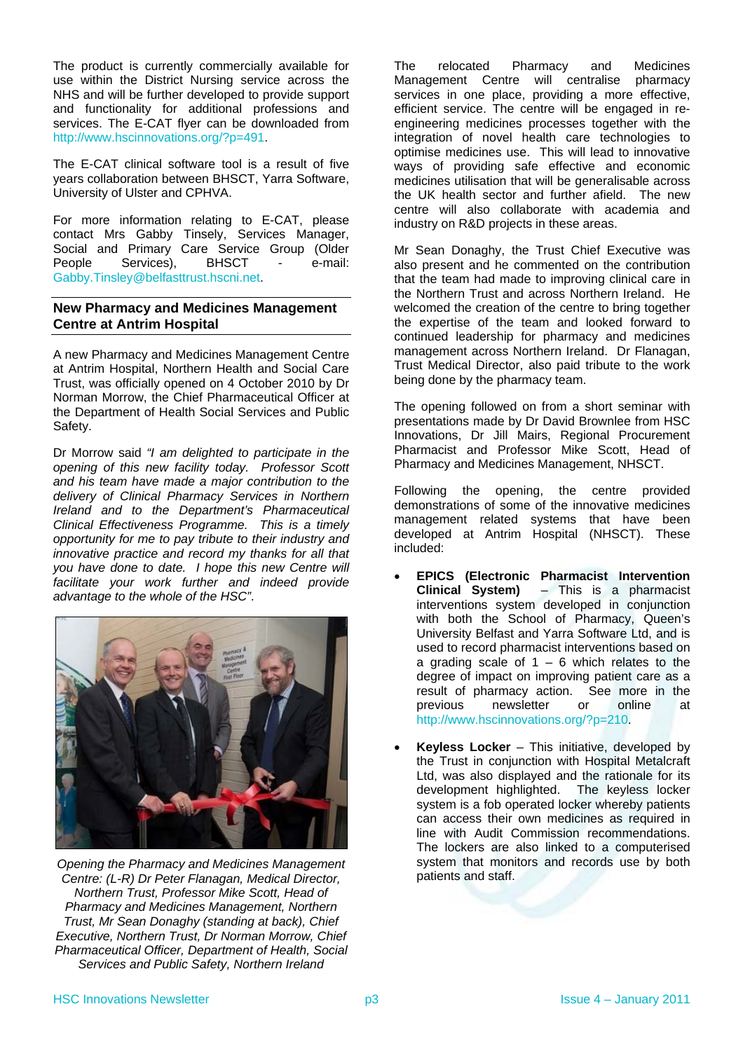The product is currently commercially available for use within the District Nursing service across the NHS and will be further developed to provide support and functionality for additional professions and services. The E-CAT flyer can be downloaded from [http://www.hscinnovations.org/?p=491.](http://www.hscinnovations.org/?p=491)

The E-CAT clinical software tool is a result of five years collaboration between BHSCT, Yarra Software, University of Ulster and CPHVA.

For more information relating to E-CAT, please contact Mrs Gabby Tinsely, Services Manager, Social and Primary Care Service Group (Older People Services), BHSCT - e-mail: [Gabby.Tinsley@belfasttrust.hscni.net](mailto:Gabby.Tinsley@belfasttrust.hscni.net).

### <span id="page-2-0"></span>**New Pharmacy and Medicines Management Centre at Antrim Hospital**

A new Pharmacy and Medicines Management Centre at Antrim Hospital, Northern Health and Social Care Trust, was officially opened on 4 October 2010 by Dr Norman Morrow, the Chief Pharmaceutical Officer at the Department of Health Social Services and Public Safety.

Dr Morrow said *"I am delighted to participate in the opening of this new facility today. Professor Scott and his team have made a major contribution to the delivery of Clinical Pharmacy Services in Northern Ireland and to the Department's Pharmaceutical Clinical Effectiveness Programme. This is a timely opportunity for me to pay tribute to their industry and innovative practice and record my thanks for all that you have done to date. I hope this new Centre will facilitate your work further and indeed provide advantage to the whole of the HSC"*.



*Opening the Pharmacy and Medicines Management Centre: (L-R) Dr Peter Flanagan, Medical Director, Northern Trust, Professor Mike Scott, Head of Pharmacy and Medicines Management, Northern Trust, Mr Sean Donaghy (standing at back), Chief Executive, Northern Trust, Dr Norman Morrow, Chief Pharmaceutical Officer, Department of Health, Social Services and Public Safety, Northern Ireland* 

The relocated Pharmacy and Medicines Management Centre will centralise pharmacy services in one place, providing a more effective, efficient service. The centre will be engaged in reengineering medicines processes together with the integration of novel health care technologies to optimise medicines use. This will lead to innovative ways of providing safe effective and economic medicines utilisation that will be generalisable across the UK health sector and further afield. The new centre will also collaborate with academia and industry on R&D projects in these areas.

Mr Sean Donaghy, the Trust Chief Executive was also present and he commented on the contribution that the team had made to improving clinical care in the Northern Trust and across Northern Ireland. He welcomed the creation of the centre to bring together the expertise of the team and looked forward to continued leadership for pharmacy and medicines management across Northern Ireland. Dr Flanagan, Trust Medical Director, also paid tribute to the work being done by the pharmacy team.

The opening followed on from a short seminar with presentations made by Dr David Brownlee from HSC Innovations, Dr Jill Mairs, Regional Procurement Pharmacist and Professor Mike Scott, Head of Pharmacy and Medicines Management, NHSCT.

Following the opening, the centre provided demonstrations of some of the innovative medicines management related systems that have been developed at Antrim Hospital (NHSCT). These included:

- **EPICS (Electronic Pharmacist Intervention Clinical System)** – This is a pharmacist interventions system developed in conjunction with both the School of Pharmacy, Queen's University Belfast and Yarra Software Ltd, and is used to record pharmacist interventions based on a grading scale of  $1 - 6$  which relates to the degree of impact on improving patient care as a result of pharmacy action. See more in the<br>previous newsletter or online at newsletter or online at [http://www.hscinnovations.org/?p=210.](http://www.hscinnovations.org/?p=210)
- **Keyless Locker** This initiative, developed by the Trust in conjunction with Hospital Metalcraft Ltd, was also displayed and the rationale for its development highlighted. The keyless locker system is a fob operated locker whereby patients can access their own medicines as required in line with Audit Commission recommendations. The lockers are also linked to a computerised system that monitors and records use by both patients and staff.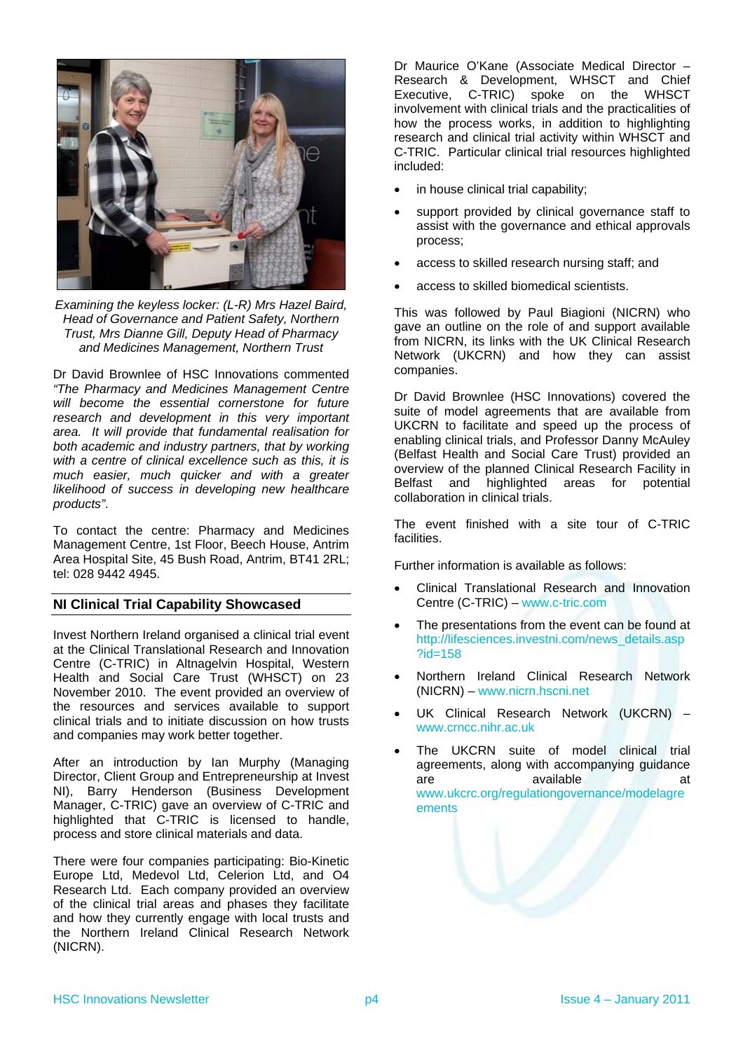

*Examining the keyless locker: (L-R) Mrs Hazel Baird, Head of Governance and Patient Safety, Northern Trust, Mrs Dianne Gill, Deputy Head of Pharmacy and Medicines Management, Northern Trust* 

Dr David Brownlee of HSC Innovations commented *"The Pharmacy and Medicines Management Centre will become the essential cornerstone for future research and development in this very important area. It will provide that fundamental realisation for both academic and industry partners, that by working with a centre of clinical excellence such as this, it is much easier, much quicker and with a greater likelihood of success in developing new healthcare products"*.

To contact the centre: Pharmacy and Medicines Management Centre, 1st Floor, Beech House, Antrim Area Hospital Site, 45 Bush Road, Antrim, BT41 2RL; tel: 028 9442 4945.

### <span id="page-3-0"></span>**NI Clinical Trial Capability Showcased**

Invest Northern Ireland organised a clinical trial event at the Clinical Translational Research and Innovation Centre (C-TRIC) in Altnagelvin Hospital, Western Health and Social Care Trust (WHSCT) on 23 November 2010. The event provided an overview of the resources and services available to support clinical trials and to initiate discussion on how trusts and companies may work better together.

After an introduction by Ian Murphy (Managing Director, Client Group and Entrepreneurship at Invest NI), Barry Henderson (Business Development Manager, C-TRIC) gave an overview of C-TRIC and highlighted that C-TRIC is licensed to handle, process and store clinical materials and data.

There were four companies participating: Bio-Kinetic Europe Ltd, Medevol Ltd, Celerion Ltd, and O4 Research Ltd. Each company provided an overview of the clinical trial areas and phases they facilitate and how they currently engage with local trusts and the Northern Ireland Clinical Research Network (NICRN).

Dr Maurice O'Kane (Associate Medical Director – Research & Development, WHSCT and Chief Executive, C-TRIC) spoke on the WHSCT involvement with clinical trials and the practicalities of how the process works, in addition to highlighting research and clinical trial activity within WHSCT and C-TRIC. Particular clinical trial resources highlighted included:

- in house clinical trial capability;
- support provided by clinical governance staff to assist with the governance and ethical approvals process;
- access to skilled research nursing staff; and
- access to skilled biomedical scientists.

This was followed by Paul Biagioni (NICRN) who gave an outline on the role of and support available from NICRN, its links with the UK Clinical Research Network (UKCRN) and how they can assist companies.

Dr David Brownlee (HSC Innovations) covered the suite of model agreements that are available from UKCRN to facilitate and speed up the process of enabling clinical trials, and Professor Danny McAuley (Belfast Health and Social Care Trust) provided an overview of the planned Clinical Research Facility in Belfast and highlighted areas for potential collaboration in clinical trials.

The event finished with a site tour of C-TRIC facilities.

Further information is available as follows:

- Clinical Translational Research and Innovation Centre (C-TRIC) – [www.c-tric.com](http://www.c-tric.com/)
- The presentations from the event can be found at [http://lifesciences.investni.com/news\\_details.asp](http://lifesciences.investni.com/news_details.asp?id=158) [?id=158](http://lifesciences.investni.com/news_details.asp?id=158)
- Northern Ireland Clinical Research Network (NICRN) – [www.nicrn.hscni.net](http://www.nicrn.hscni.net/)
- UK Clinical Research Network (UKCRN) [www.crncc.nihr.ac.uk](http://www.crncc.nihr.ac.uk/)
- The UKCRN suite of model clinical trial agreements, along with accompanying guidance are available at at [www.ukcrc.org/regulationgovernance/modelagre](http://www.ukcrc.org/regulationgovernance/modelagreements) [ements](http://www.ukcrc.org/regulationgovernance/modelagreements)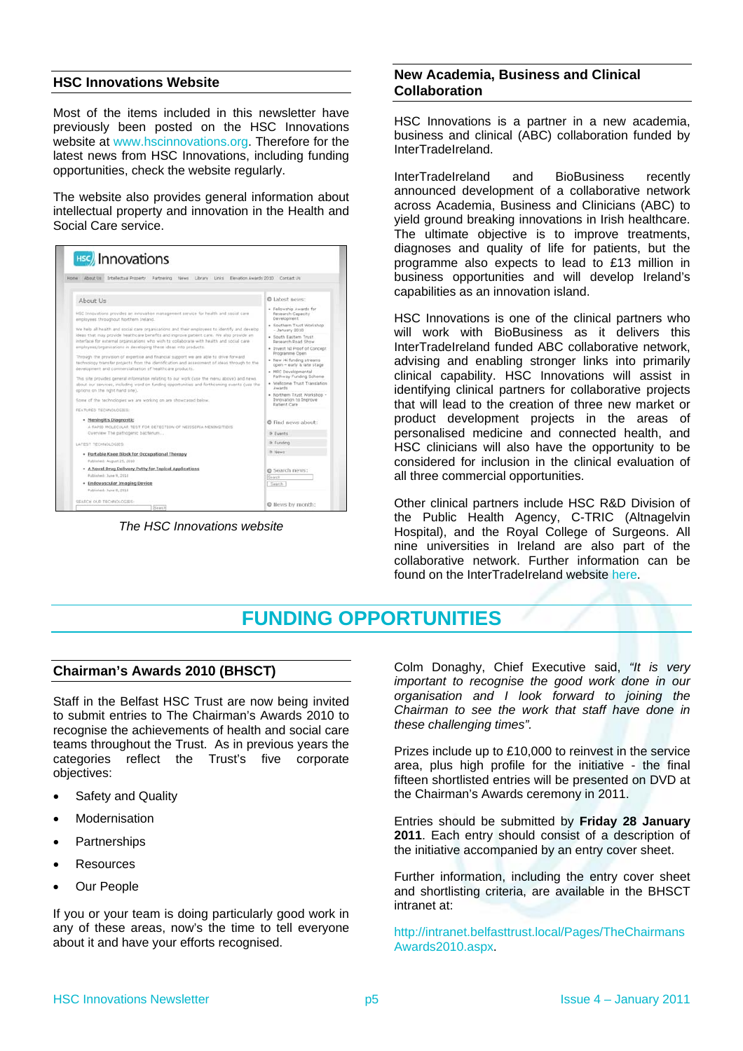### <span id="page-4-0"></span>**Collaboration HSC Innovations Website**

Most of the items included in this newsletter have previously been posted on the HSC Innovations website at [www.hscinnovations.org.](http://www.hscinnovations.org/) Therefore for the latest news from HSC Innovations, including funding opportunities, check the website regularly.

The website also provides general information about intellectual property and innovation in the Health and Social Care service.

| Intellectual Property<br><b>Home</b><br>About Us<br>Partnering<br>- News<br>Library Links                                                                                                                                                                                                                                                               | Elevation Awards 2010 Contact Us                                                                                                                                                                                                                                                                                                                                                                                                                                                                       |
|---------------------------------------------------------------------------------------------------------------------------------------------------------------------------------------------------------------------------------------------------------------------------------------------------------------------------------------------------------|--------------------------------------------------------------------------------------------------------------------------------------------------------------------------------------------------------------------------------------------------------------------------------------------------------------------------------------------------------------------------------------------------------------------------------------------------------------------------------------------------------|
| About Us                                                                                                                                                                                                                                                                                                                                                | @ Labest news:<br>· Fellowship Awards for<br>Research Capacity<br>Development.<br>· Southern Trust Workshop<br>$-$ January 2010<br>· South Eastern Trust<br>Research Poad Show<br>. Invest M Proof of Concept<br>Programme Open<br>· New i4i funding streams<br>open - early & late stage<br>· MRC Developmental<br>Pathway Funding Scheme<br>· Wellcome Trust Translation<br>Awards.<br>· Northern Trust Workshop -<br>Innovation to Improve<br>Patient Care<br>@ Find news about:<br><b>3 Events</b> |
| HSC Innovations provides an innovation management service for health and social care<br>employees throughout Northern Ireland.                                                                                                                                                                                                                          |                                                                                                                                                                                                                                                                                                                                                                                                                                                                                                        |
| We help all health and social care organisations and their employees to identify and develop<br>ideas that may provide healthcare benefits and improve patient care. We also provide an<br>interface for external projectations who wish to collaborate with health and social care<br>employees/organisations in developing these ideas into products. |                                                                                                                                                                                                                                                                                                                                                                                                                                                                                                        |
| Through the provision of expertise and financial support we are able to drive forward<br>technology transfer projects from the identification and assessment of ideas through to the<br>development and commercialisation of healthcare products.                                                                                                       |                                                                                                                                                                                                                                                                                                                                                                                                                                                                                                        |
| This site provides general information relating to our work (use the menu above) and news.<br>about our services, including word on funding opportunities and forthcoming events cuse the<br>options on the right hand site).                                                                                                                           |                                                                                                                                                                                                                                                                                                                                                                                                                                                                                                        |
| Some of the technologies we are working on are showcased below.<br>FEATURED TECHNOLOGIES:                                                                                                                                                                                                                                                               |                                                                                                                                                                                                                                                                                                                                                                                                                                                                                                        |
| · Meningitis Diagnostic<br>A RAPID MOLECULAR TEST FOR DETECTION OF NEISSERIA MENINGITIOIS<br>Overview The pathogenic bacterium                                                                                                                                                                                                                          |                                                                                                                                                                                                                                                                                                                                                                                                                                                                                                        |
| LATEST TECHNOLOGIES:                                                                                                                                                                                                                                                                                                                                    | <b>I</b> Funding                                                                                                                                                                                                                                                                                                                                                                                                                                                                                       |
| · Portable Knee Block for Occupational Therapy<br>Fublished: August 25, 2010                                                                                                                                                                                                                                                                            | <b>3. News</b>                                                                                                                                                                                                                                                                                                                                                                                                                                                                                         |
| . A Novel Drug Delivery Putty for Topical Applications<br>Published: June 9, 2010                                                                                                                                                                                                                                                                       | Search news:<br>Search                                                                                                                                                                                                                                                                                                                                                                                                                                                                                 |
| · Endovascular Imaging Device<br>Published: June II, 2010                                                                                                                                                                                                                                                                                               | Saarch                                                                                                                                                                                                                                                                                                                                                                                                                                                                                                 |

*The HSC Innovations website* 

# **New Academia, Business and Clinical**

HSC Innovations is a partner in a new academia, business and clinical (ABC) collaboration funded by InterTradeIreland.

InterTradeIreland and BioBusiness recently announced development of a collaborative network across Academia, Business and Clinicians (ABC) to yield ground breaking innovations in Irish healthcare. The ultimate objective is to improve treatments, diagnoses and quality of life for patients, but the programme also expects to lead to £13 million in business opportunities and will develop Ireland's capabilities as an innovation island.

HSC Innovations is one of the clinical partners who will work with BioBusiness as it delivers this InterTradeIreland funded ABC collaborative network, advising and enabling stronger links into primarily clinical capability. HSC Innovations will assist in identifying clinical partners for collaborative projects that will lead to the creation of three new market or product development projects in the areas of personalised medicine and connected health, and HSC clinicians will also have the opportunity to be considered for inclusion in the clinical evaluation of all three commercial opportunities.

Other clinical partners include HSC R&D Division of the Public Health Agency, C-TRIC (Altnagelvin Hospital), and the Royal College of Surgeons. All nine universities in Ireland are also part of the collaborative network. Further information can be found on the InterTradeIreland website [here](http://www.intertradeireland.com/newsandevents/news/2010/name,2064,en.html).

### **FUNDING OPPORTUNITIES**

### <span id="page-4-2"></span><span id="page-4-1"></span>**Chairman's Awards 2010 (BHSCT)**

Staff in the Belfast HSC Trust are now being invited to submit entries to The Chairman's Awards 2010 to recognise the achievements of health and social care teams throughout the Trust. As in previous years the categories reflect the Trust's five corporate objectives:

- 
- 
- 
- Resources
- Our People

If you or your team is doing particularly good work in any of these areas, now's the time to tell everyone any of these areas, now's the time to tell everyone [http://intranet.belfasttrust.local/Pages/TheChairmans](http://intranet.belfasttrust.local/Pages/TheChairmansAwards2010.aspx)<br>about it and have your efforts recognised.

Colm Donaghy, Chief Executive said, *"It is very important to recognise the good work done in our organisation and I look forward to joining the Chairman to see the work that staff have done in these challenging times".*

Prizes include up to £10,000 to reinvest in the service area, plus high profile for the initiative - the final fifteen shortlisted entries will be presented on DVD at • Safety and Quality **the Chairman's Awards ceremony in 2011.** 

 Modernisation Entries should be submitted by **Friday 28 January 2011**. Each entry should consist of a description of Partnerships **Partnerships Example 2011.** Each entry should consist of a description partnerships **Partnerships** 

> Further information, including the entry cover sheet and shortlisting criteria, are available in the BHSCT intranet at:

[Awards2010.aspx](http://intranet.belfasttrust.local/Pages/TheChairmansAwards2010.aspx).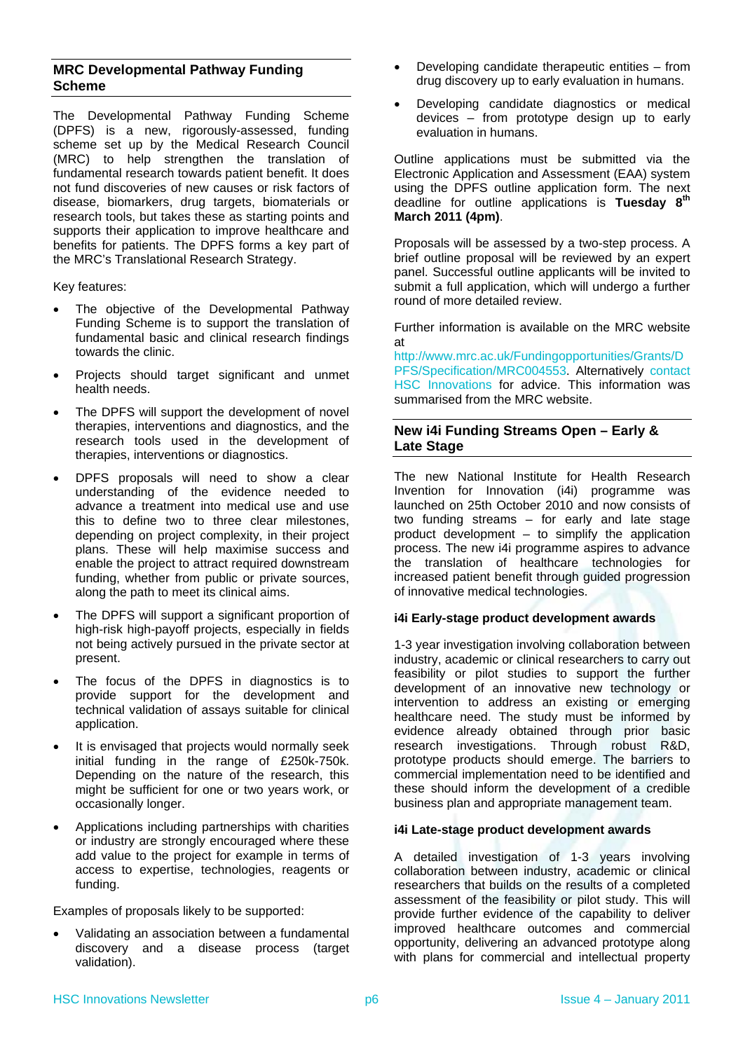### <span id="page-5-0"></span>**MRC Developmental Pathway Funding Scheme**

The Developmental Pathway Funding Scheme (DPFS) is a new, rigorously-assessed, funding scheme set up by the Medical Research Council (MRC) to help strengthen the translation of fundamental research towards patient benefit. It does not fund discoveries of new causes or risk factors of disease, biomarkers, drug targets, biomaterials or research tools, but takes these as starting points and supports their application to improve healthcare and benefits for patients. The DPFS forms a key part of the MRC's Translational Research Strategy.

Key features:

- The objective of the Developmental Pathway Funding Scheme is to support the translation of fundamental basic and clinical research findings towards the clinic.
- Projects should target significant and unmet health needs.
- <span id="page-5-1"></span> The DPFS will support the development of novel therapies, interventions and diagnostics, and the research tools used in the development of therapies, interventions or diagnostics.
- DPFS proposals will need to show a clear understanding of the evidence needed to advance a treatment into medical use and use this to define two to three clear milestones, depending on project complexity, in their project plans. These will help maximise success and enable the project to attract required downstream funding, whether from public or private sources, along the path to meet its clinical aims.
- The DPFS will support a significant proportion of high-risk high-payoff projects, especially in fields not being actively pursued in the private sector at present.
- The focus of the DPFS in diagnostics is to provide support for the development and technical validation of assays suitable for clinical application.
- It is envisaged that projects would normally seek initial funding in the range of £250k-750k. Depending on the nature of the research, this might be sufficient for one or two years work, or occasionally longer.
- Applications including partnerships with charities or industry are strongly encouraged where these add value to the project for example in terms of access to expertise, technologies, reagents or funding.

Examples of proposals likely to be supported:

 Validating an association between a fundamental discovery and a disease process (target validation).

- Developing candidate therapeutic entities from drug discovery up to early evaluation in humans.
- Developing candidate diagnostics or medical devices – from prototype design up to early evaluation in humans.

Outline applications must be submitted via the Electronic Application and Assessment (EAA) system using the DPFS outline application form. The next deadline for outline applications is **Tuesday 8th March 2011 (4pm)**.

Proposals will be assessed by a two-step process. A brief outline proposal will be reviewed by an expert panel. Successful outline applicants will be invited to submit a full application, which will undergo a further round of more detailed review.

Further information is available on the MRC website at

[http://www.mrc.ac.uk/Fundingopportunities/Grants/D](http://www.mrc.ac.uk/Fundingopportunities/Grants/DPFS/Specification/MRC004553) [PFS/Specification/MRC004553.](http://www.mrc.ac.uk/Fundingopportunities/Grants/DPFS/Specification/MRC004553) Alternatively [contact](#page--1-0)  [HSC Innovations](#page--1-0) for advice. This information was summarised from the MRC website.

### **New i4i Funding Streams Open – Early & Late Stage**

The new National Institute for Health Research Invention for Innovation (i4i) programme was launched on 25th October 2010 and now consists of two funding streams – for early and late stage product development – to simplify the application process. The new i4i programme aspires to advance the translation of healthcare technologies for increased patient benefit through guided progression of innovative medical technologies.

### **i4i Early-stage product development awards**

1-3 year investigation involving collaboration between industry, academic or clinical researchers to carry out feasibility or pilot studies to support the further development of an innovative new technology or intervention to address an existing or emerging healthcare need. The study must be informed by evidence already obtained through prior basic research investigations. Through robust R&D, prototype products should emerge. The barriers to commercial implementation need to be identified and these should inform the development of a credible business plan and appropriate management team.

### **i4i Late-stage product development awards**

A detailed investigation of 1-3 years involving collaboration between industry, academic or clinical researchers that builds on the results of a completed assessment of the feasibility or pilot study. This will provide further evidence of the capability to deliver improved healthcare outcomes and commercial opportunity, delivering an advanced prototype along with plans for commercial and intellectual property